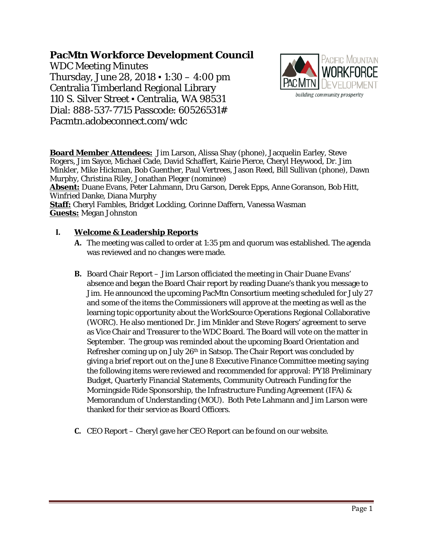# **PacMtn Workforce Development Council**

WDC Meeting Minutes Thursday, June 28, 2018 ▪ 1:30 – 4:00 pm Centralia Timberland Regional Library 110 S. Silver Street ▪ Centralia, WA 98531 Dial: 888-537-7715 Passcode: 60526531# Pacmtn.adobeconnect.com/wdc



**Board Member Attendees:** Jim Larson, Alissa Shay (phone), Jacquelin Earley, Steve Rogers, Jim Sayce, Michael Cade, David Schaffert, Kairie Pierce, Cheryl Heywood, Dr. Jim Minkler, Mike Hickman, Bob Guenther, Paul Vertrees, Jason Reed, Bill Sullivan (phone), Dawn Murphy, Christina Riley, Jonathan Pleger (nominee)

**Absent:** Duane Evans, Peter Lahmann, Dru Garson, Derek Epps, Anne Goranson, Bob Hitt, Winfried Danke, Diana Murphy

**Staff:** Cheryl Fambles, Bridget Lockling, Corinne Daffern, Vanessa Wasman **Guests:** Megan Johnston

## **I. Welcome & Leadership Reports**

- **A.** The meeting was called to order at 1:35 pm and quorum was established. The agenda was reviewed and no changes were made.
- **B.** Board Chair Report Jim Larson officiated the meeting in Chair Duane Evans' absence and began the Board Chair report by reading Duane's thank you message to Jim. He announced the upcoming PacMtn Consortium meeting scheduled for July 27 and some of the items the Commissioners will approve at the meeting as well as the learning topic opportunity about the WorkSource Operations Regional Collaborative (WORC). He also mentioned Dr. Jim Minkler and Steve Rogers' agreement to serve as Vice Chair and Treasurer to the WDC Board. The Board will vote on the matter in September. The group was reminded about the upcoming Board Orientation and Refresher coming up on July 26<sup>th</sup> in Satsop. The Chair Report was concluded by giving a brief report out on the June 8 Executive Finance Committee meeting saying the following items were reviewed and recommended for approval: PY18 Preliminary Budget, Quarterly Financial Statements, Community Outreach Funding for the Morningside Ride Sponsorship, the Infrastructure Funding Agreement (IFA) & Memorandum of Understanding (MOU). Both Pete Lahmann and Jim Larson were thanked for their service as Board Officers.
- **C.** CEO Report Cheryl gave her CEO Report can be found on our website.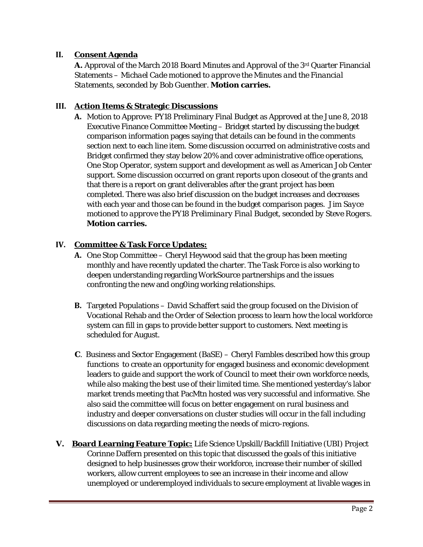#### **II. Consent Agenda**

**A.** Approval of the March 2018 Board Minutes and Approval of the 3rd Quarter Financial Statements – *Michael Cade motioned to approve the Minutes and the Financial Statements, seconded by Bob Guenther.* **Motion carries.**

## **III. Action Items & Strategic Discussions**

**A.** Motion to Approve: PY18 Preliminary Final Budget as Approved at the June 8, 2018 Executive Finance Committee Meeting – Bridget started by discussing the budget comparison information pages saying that details can be found in the comments section next to each line item. Some discussion occurred on administrative costs and Bridget confirmed they stay below 20% and cover administrative office operations, One Stop Operator, system support and development as well as American Job Center support. Some discussion occurred on grant reports upon closeout of the grants and that there is a report on grant deliverables after the grant project has been completed. There was also brief discussion on the budget increases and decreases with each year and those can be found in the budget comparison pages. *Jim Sayce motioned to approve the PY18 Preliminary Final Budget, seconded by Steve Rogers.*  **Motion carries.**

## **IV. Committee & Task Force Updates:**

- **A.** One Stop Committee Cheryl Heywood said that the group has been meeting monthly and have recently updated the charter. The Task Force is also working to deepen understanding regarding WorkSource partnerships and the issues confronting the new and ong0ing working relationships.
- **B.** Targeted Populations David Schaffert said the group focused on the Division of Vocational Rehab and the Order of Selection process to learn how the local workforce system can fill in gaps to provide better support to customers. Next meeting is scheduled for August.
- **C**. Business and Sector Engagement (BaSE) Cheryl Fambles described how this group functions to create an opportunity for engaged business and economic development leaders to guide and support the work of Council to meet their own workforce needs, while also making the best use of their limited time. She mentioned yesterday's labor market trends meeting that PacMtn hosted was very successful and informative. She also said the committee will focus on better engagement on rural business and industry and deeper conversations on cluster studies will occur in the fall including discussions on data regarding meeting the needs of micro-regions.
- **V. Board Learning Feature Topic:** Life Science Upskill/Backfill Initiative (UBI) Project Corinne Daffern presented on this topic that discussed the goals of this initiative designed to help businesses grow their workforce, increase their number of skilled workers, allow current employees to see an increase in their income and allow unemployed or underemployed individuals to secure employment at livable wages in